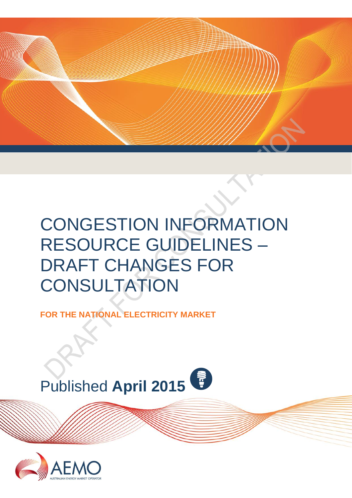

# CONGESTION INFORMATION RESOURCE GUIDELINES – DRAFT CHANGES FOR **CONSULTATION**

**FOR THE NATIONAL ELECTRICITY MARKET**

<span id="page-0-0"></span>

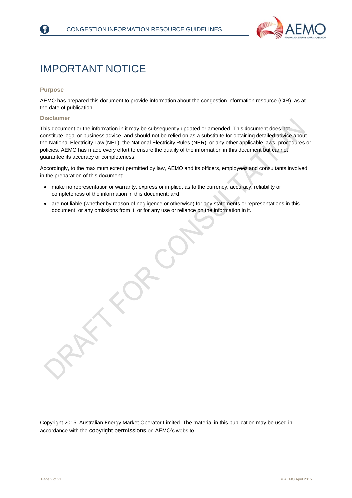

## IMPORTANT NOTICE

#### **Purpose**

AEMO has prepared this document to provide information about the congestion information resource (CIR), as at the date of publication.

#### **Disclaimer**

This document or the information in it may be subsequently updated or amended. This document does not constitute legal or business advice, and should not be relied on as a substitute for obtaining detailed advice about the National Electricity Law (NEL), the National Electricity Rules (NER), or any other applicable laws, procedures or policies. AEMO has made every effort to ensure the quality of the information in this document but cannot guarantee its accuracy or completeness.

Accordingly, to the maximum extent permitted by law, AEMO and its officers, employees and consultants involved in the preparation of this document:

- make no representation or warranty, express or implied, as to the currency, accuracy, reliability or completeness of the information in this document; and
- are not liable (whether by reason of negligence or otherwise) for any statements or representations in this document, or any omissions from it, or for any use or reliance on the information in it.

Copyright 2015. Australian Energy Market Operator Limited. The material in this publication may be used in accordance with the [copyright permissions](http://www.aemo.com.au/en/About-AEMO/Copyright-Permissions) on AEMO's website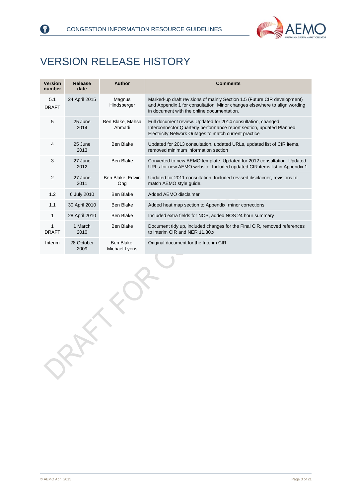



## <span id="page-2-0"></span>VERSION RELEASE HISTORY

| <b>Version</b><br>number | Release<br>date    | <b>Author</b>               | <b>Comments</b>                                                                                                                                                                                     |
|--------------------------|--------------------|-----------------------------|-----------------------------------------------------------------------------------------------------------------------------------------------------------------------------------------------------|
| 5.1<br><b>DRAFT</b>      | 24 April 2015      | Magnus<br>Hindsberger       | Marked-up draft revisions of mainly Section 1.5 (Future CIR development)<br>and Appendix 1 for consultation. Minor changes elsewhere to align wording<br>in document with the online documentation. |
| 5                        | 25 June<br>2014    | Ben Blake, Mahsa<br>Ahmadi  | Full document review. Updated for 2014 consultation, changed<br>Interconnector Quarterly performance report section, updated Planned<br>Electricity Network Outages to match current practice       |
| 4                        | 25 June<br>2013    | Ben Blake                   | Updated for 2013 consultation, updated URLs, updated list of CIR items,<br>removed minimum information section                                                                                      |
| 3                        | 27 June<br>2012    | Ben Blake                   | Converted to new AEMO template. Updated for 2012 consultation. Updated<br>URLs for new AEMO website. Included updated CIR items list in Appendix 1                                                  |
| $\overline{2}$           | 27 June<br>2011    | Ben Blake, Edwin<br>Ong     | Updated for 2011 consultation. Included revised disclaimer, revisions to<br>match AEMO style guide.                                                                                                 |
| 1.2                      | 6 July 2010        | <b>Ben Blake</b>            | Added AEMO disclaimer                                                                                                                                                                               |
| 1.1                      | 30 April 2010      | Ben Blake                   | Added heat map section to Appendix, minor corrections                                                                                                                                               |
| 1                        | 28 April 2010      | Ben Blake                   | Included extra fields for NOS, added NOS 24 hour summary                                                                                                                                            |
| 1<br><b>DRAFT</b>        | 1 March<br>2010    | <b>Ben Blake</b>            | Document tidy up, included changes for the Final CIR, removed references<br>to interim CIR and NER 11.30.x                                                                                          |
| Interim                  | 28 October<br>2009 | Ben Blake,<br>Michael Lyons | Original document for the Interim CIR                                                                                                                                                               |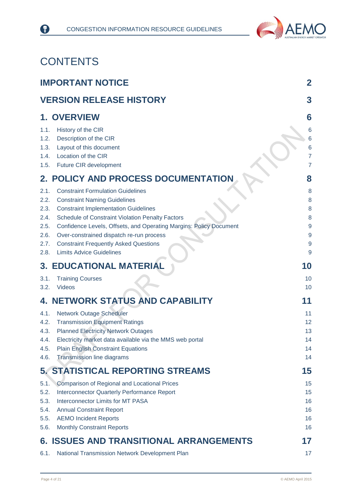

## **CONTENTS**

8

|                                                                                              | <b>IMPORTANT NOTICE</b>                                                                                                                                                                                                                                                                                                                                                                                                                                                                                                                       | $\mathbf 2$                                                                                                                         |
|----------------------------------------------------------------------------------------------|-----------------------------------------------------------------------------------------------------------------------------------------------------------------------------------------------------------------------------------------------------------------------------------------------------------------------------------------------------------------------------------------------------------------------------------------------------------------------------------------------------------------------------------------------|-------------------------------------------------------------------------------------------------------------------------------------|
|                                                                                              | <b>VERSION RELEASE HISTORY</b>                                                                                                                                                                                                                                                                                                                                                                                                                                                                                                                | 3                                                                                                                                   |
| 1.1.<br>1.2.<br>1.3.<br>1.4.<br>1.5.<br>2.1.<br>2.2.<br>2.3.<br>2.4.<br>2.5.<br>2.6.<br>2.7. | <b>1. OVERVIEW</b><br>History of the CIR<br>Description of the CIR<br>Layout of this document<br>Location of the CIR<br>Future CIR development<br>2. POLICY AND PROCESS DOCUMENTATION<br><b>Constraint Formulation Guidelines</b><br><b>Constraint Naming Guidelines</b><br><b>Constraint Implementation Guidelines</b><br>Schedule of Constraint Violation Penalty Factors<br>Confidence Levels, Offsets, and Operating Margins: Policy Document<br>Over-constrained dispatch re-run process<br><b>Constraint Frequently Asked Questions</b> | 6<br>6<br>6<br>6<br>$\overline{7}$<br>$\overline{7}$<br>8<br>8<br>8<br>8<br>8<br>$\overline{9}$<br>$\overline{9}$<br>$\overline{9}$ |
| 2.8.                                                                                         | <b>Limits Advice Guidelines</b><br><b>3. EDUCATIONAL MATERIAL</b>                                                                                                                                                                                                                                                                                                                                                                                                                                                                             | 9<br>10                                                                                                                             |
| 3.1.<br>3.2.                                                                                 | <b>Training Courses</b><br><b>Videos</b>                                                                                                                                                                                                                                                                                                                                                                                                                                                                                                      | 10<br>10                                                                                                                            |
|                                                                                              | 4. NETWORK STATUS AND CAPABILITY                                                                                                                                                                                                                                                                                                                                                                                                                                                                                                              | 11                                                                                                                                  |
| 4.1.<br>4.2.<br>4.3.<br>4.4.<br>4.5.<br>4.6.                                                 | <b>Network Outage Scheduler</b><br><b>Transmission Equipment Ratings</b><br><b>Planned Electricity Network Outages</b><br>Electricity market data available via the MMS web portal<br><b>Plain English Constraint Equations</b><br><b>Transmission line diagrams</b>                                                                                                                                                                                                                                                                          | 11<br>12<br>13<br>14<br>14<br>14                                                                                                    |
|                                                                                              | <b>5. STATISTICAL REPORTING STREAMS</b>                                                                                                                                                                                                                                                                                                                                                                                                                                                                                                       | 15                                                                                                                                  |
| 5.1.<br>5.2.<br>5.3.<br>5.4.<br>5.5.<br>5.6.                                                 | <b>Comparison of Regional and Locational Prices</b><br><b>Interconnector Quarterly Performance Report</b><br><b>Interconnector Limits for MT PASA</b><br><b>Annual Constraint Report</b><br><b>AEMO Incident Reports</b><br><b>Monthly Constraint Reports</b>                                                                                                                                                                                                                                                                                 | 15<br>15<br>16<br>16<br>16<br>16                                                                                                    |
| 6.                                                                                           | <b>ISSUES AND TRANSITIONAL ARRANGEMENTS</b>                                                                                                                                                                                                                                                                                                                                                                                                                                                                                                   | 17                                                                                                                                  |
| 6.1.                                                                                         | National Transmission Network Development Plan                                                                                                                                                                                                                                                                                                                                                                                                                                                                                                | 17                                                                                                                                  |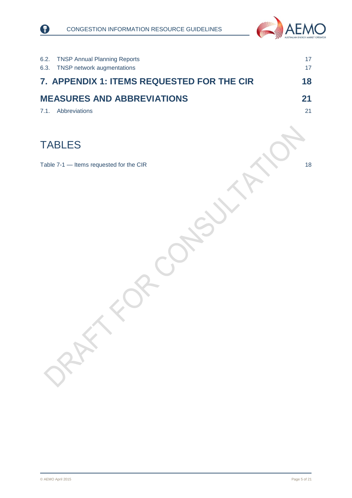



| 6.2.<br><b>TNSP Annual Planning Reports</b><br>6.3.<br>TNSP network augmentations | 17<br>17 |
|-----------------------------------------------------------------------------------|----------|
| 7. APPENDIX 1: ITEMS REQUESTED FOR THE CIR                                        | 18       |
| <b>MEASURES AND ABBREVIATIONS</b><br>Abbreviations<br>7.1.                        | 21<br>21 |
|                                                                                   |          |
| <b>TABLES</b>                                                                     |          |
| Table 7-1 - Items requested for the CIR                                           | 18       |
|                                                                                   |          |
|                                                                                   |          |
|                                                                                   |          |
|                                                                                   |          |
|                                                                                   |          |
|                                                                                   |          |
|                                                                                   |          |
|                                                                                   |          |
|                                                                                   |          |
|                                                                                   |          |
| PRAY                                                                              |          |
|                                                                                   |          |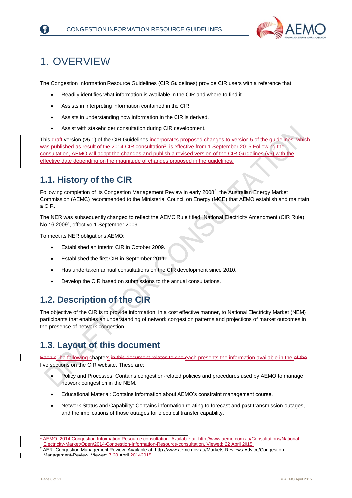

## <span id="page-5-0"></span>1. OVERVIEW

The Congestion Information Resource Guidelines (CIR Guidelines) provide CIR users with a reference that:

- Readily identifies what information is available in the CIR and where to find it.
- Assists in interpreting information contained in the CIR.
- Assists in understanding how information in the CIR is derived.
- Assist with stakeholder consultation during CIR development.

This draft version (v5.1) of the CIR Guidelines incorporates proposed changes to version 5 of the guidelines, which was published as result of the 2014 CIR consultation<sup>1</sup>. is effective from 1 September 2015-Following the consultation, AEMO will adapt the changes and publish a revised version of the CIR Guidelines (v6) with the effective date depending on the magnitude of changes proposed in the guidelines.

### <span id="page-5-1"></span>**1.1. History of the CIR**

Following completion of its Congestion Management Review in early 2008<sup>2</sup>, the Australian Energy Market Commission (AEMC) recommended to the Ministerial Council on Energy (MCE) that AEMO establish and maintain a CIR.

The NER was subsequently changed to reflect the AEMC Rule titled "National Electricity Amendment (CIR Rule) No 16 2009", effective 1 September 2009.

To meet its NER obligations AEMO:

- Established an interim CIR in October 2009.
- Established the first CIR in September 2011.
- Has undertaken annual consultations on the CIR development since 2010.
- Develop the CIR based on submissions to the annual consultations.

### <span id="page-5-2"></span>**1.2. Description of the CIR**

The objective of the CIR is to provide information, in a cost effective manner, to National Electricity Market (NEM) participants that enables an understanding of network congestion patterns and projections of market outcomes in the presence of network congestion.

### <span id="page-5-3"></span>**1.3. Layout of this document**

Each eThe following chapters in this document relates to one each presents the information available in the of the five sections on the CIR website. These are:

- Policy and Processes: Contains congestion-related policies and procedures used by AEMO to manage network congestion in the NEM.
- Educational Material: Contains information about AEMO's constraint management course.
- Network Status and Capability: Contains information relating to forecast and past transmission outages, and the implications of those outages for electrical transfer capability.

\_\_\_\_\_\_\_\_\_\_\_\_\_\_\_\_\_\_\_\_\_\_\_\_\_\_\_\_\_\_\_\_\_\_\_\_\_\_\_\_\_\_\_\_\_\_\_\_\_\_ <sup>1</sup> AEMO. 2014 Congestion Information Resource consultation. Available at[: http://www.aemo.com.au/Consultations/National-](http://www.aemo.com.au/Consultations/National-Electricity-Market/Open/2014-Congestion-Information-Resource-consultation)[Electricity-Market/Open/2014-Congestion-Information-Resource-consultation.](http://www.aemo.com.au/Consultations/National-Electricity-Market/Open/2014-Congestion-Information-Resource-consultation) Viewed: 22 April 2015.

<sup>&</sup>lt;sup>2</sup> AER. Congestion Management Review. Available at: [http://www.aemc.gov.au/Markets-Reviews-Advice/Congestion-](http://www.aemc.gov.au/Markets-Reviews-Advice/Congestion-Management-Review)[Management-Review.](http://www.aemc.gov.au/Markets-Reviews-Advice/Congestion-Management-Review) Viewed: 7-20 April 20142015.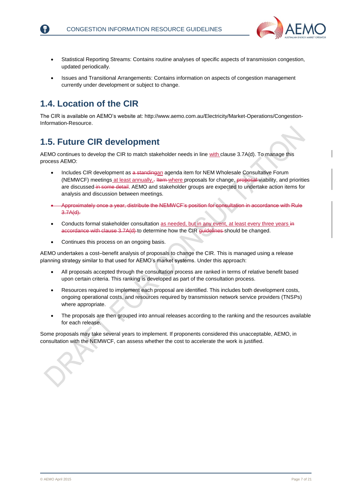

- Statistical Reporting Streams: Contains routine analyses of specific aspects of transmission congestion, updated periodically.
- Issues and Transitional Arrangements: Contains information on aspects of congestion management currently under development or subject to change.

### <span id="page-6-0"></span>**1.4. Location of the CIR**

The CIR is available on AEMO's website at[: http://www.aemo.com.au/Electricity/Market-Operations/Congestion-](http://www.aemo.com.au/Electricity/Market-Operations/Congestion-Information-Resource)[Information-Resource.](http://www.aemo.com.au/Electricity/Market-Operations/Congestion-Information-Resource)

### <span id="page-6-1"></span>**1.5. Future CIR development**

AEMO continues to develop the CIR to match stakeholder needs in line with clause 3.7A(d). To manage this process AEMO:

- Includes CIR development as a standingan agenda item for NEM Wholesale Consultative Forum (NEMWCF) meetings at least annually,- Item where proposals for change, proposal viability, and priorities are discussed in some detail. AEMO and stakeholder groups are expected to undertake action items for analysis and discussion between meetings.
- Approximately once a year, distribute the NEMWCF's position for consultation in accordance with Rule 3.7A(d).
- Conducts formal stakeholder consultation as needed, but in any event, at least every three years in accordance with clause 3.7A(d) to determine how the CIR guidelines should be changed.
- Continues this process on an ongoing basis.

AEMO undertakes a cost–benefit analysis of proposals to change the CIR. This is managed using a release planning strategy similar to that used for AEMO's market systems. Under this approach:

- All proposals accepted through the consultation process are ranked in terms of relative benefit based upon certain criteria. This ranking is developed as part of the consultation process.
- Resources required to implement each proposal are identified. This includes both development costs, ongoing operational costs, and resources required by transmission network service providers (TNSPs) where appropriate.
- The proposals are then grouped into annual releases according to the ranking and the resources available for each release.

Some proposals may take several years to implement. If proponents considered this unacceptable, AEMO, in consultation with the NEMWCF, can assess whether the cost to accelerate the work is justified.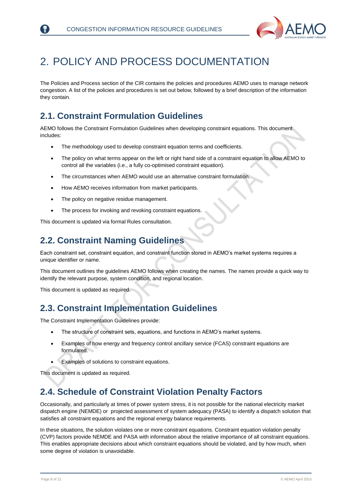

## <span id="page-7-0"></span>2. POLICY AND PROCESS DOCUMENTATION

The Policies and Process section of the CIR contains the policies and procedures AEMO uses to manage network congestion. A list of the policies and procedures is set out below, followed by a brief description of the information they contain.

### <span id="page-7-1"></span>**2.1. Constraint Formulation Guidelines**

AEMO follows the Constraint Formulation Guidelines when developing constraint equations. This document includes:

- The methodology used to develop constraint equation terms and coefficients.
- The policy on what terms appear on the left or right hand side of a constraint equation to allow AEMO to control all the variables (i.e., a fully co-optimised constraint equation).
- The circumstances when AEMO would use an alternative constraint formulation.
- How AEMO receives information from market participants.
- The policy on negative residue management.
- The process for invoking and revoking constraint equations.

This document is updated via formal Rules consultation.

### <span id="page-7-2"></span>**2.2. Constraint Naming Guidelines**

Each constraint set, constraint equation, and constraint function stored in AEMO's market systems requires a unique identifier or name.

This document outlines the guidelines AEMO follows when creating the names. The names provide a quick way to identify the relevant purpose, system condition, and regional location.

This document is updated as required.

### <span id="page-7-3"></span>**2.3. Constraint Implementation Guidelines**

The Constraint Implementation Guidelines provide:

- The structure of constraint sets, equations, and functions in AEMO's market systems.
- Examples of how energy and frequency control ancillary service (FCAS) constraint equations are formulated.
- Examples of solutions to constraint equations.

This document is updated as required.

### <span id="page-7-4"></span>**2.4. Schedule of Constraint Violation Penalty Factors**

Occasionally, and particularly at times of power system stress, it is not possible for the national electricity market dispatch engine (NEMDE) or projected assessment of system adequacy (PASA) to identify a dispatch solution that satisfies all constraint equations and the regional energy balance requirements.

In these situations, the solution violates one or more constraint equations. Constraint equation violation penalty (CVP) factors provide NEMDE and PASA with information about the relative importance of all constraint equations. This enables appropriate decisions about which constraint equations should be violated, and by how much, when some degree of violation is unavoidable.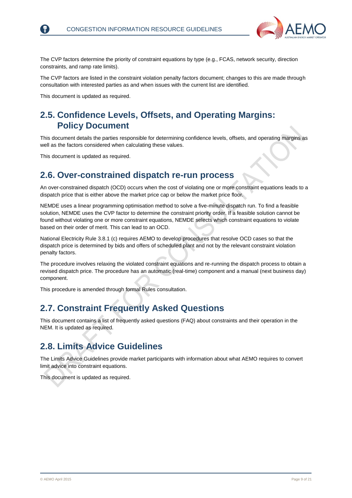

The CVP factors determine the priority of constraint equations by type (e.g., FCAS, network security, direction constraints, and ramp rate limits).

The CVP factors are listed in the constraint violation penalty factors document; changes to this are made through consultation with interested parties as and when issues with the current list are identified.

This document is updated as required.

### <span id="page-8-0"></span>**2.5. Confidence Levels, Offsets, and Operating Margins: Policy Document**

This document details the parties responsible for determining confidence levels, offsets, and operating margins as well as the factors considered when calculating these values.

This document is updated as required.

### <span id="page-8-1"></span>**2.6. Over-constrained dispatch re-run process**

An over-constrained dispatch (OCD) occurs when the cost of violating one or more constraint equations leads to a dispatch price that is either above the market price cap or below the market price floor.

NEMDE uses a linear programming optimisation method to solve a five-minute dispatch run. To find a feasible solution, NEMDE uses the CVP factor to determine the constraint priority order. If a feasible solution cannot be found without violating one or more constraint equations, NEMDE selects which constraint equations to violate based on their order of merit. This can lead to an OCD.

National Electricity Rule 3.8.1 (c) requires AEMO to develop procedures that resolve OCD cases so that the dispatch price is determined by bids and offers of scheduled plant and not by the relevant constraint violation penalty factors.

The procedure involves relaxing the violated constraint equations and re-running the dispatch process to obtain a revised dispatch price. The procedure has an automatic (real-time) component and a manual (next business day) component.

This procedure is amended through formal Rules consultation.

### <span id="page-8-2"></span>**2.7. Constraint Frequently Asked Questions**

This document contains a list of frequently asked questions (FAQ) about constraints and their operation in the NEM. It is updated as required.

### <span id="page-8-3"></span>**2.8. Limits Advice Guidelines**

The Limits Advice Guidelines provide market participants with information about what AEMO requires to convert limit advice into constraint equations.

This document is updated as required.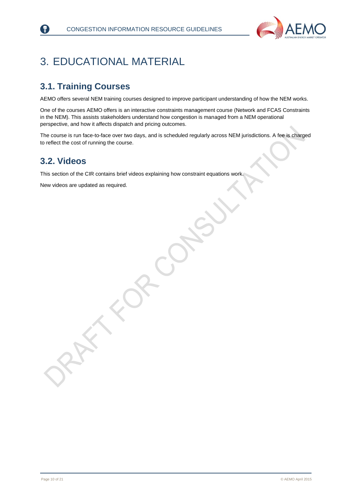

## <span id="page-9-0"></span>3. EDUCATIONAL MATERIAL

### <span id="page-9-1"></span>**3.1. Training Courses**

AEMO offers several NEM training courses designed to improve participant understanding of how the NEM works.

One of the courses AEMO offers is an interactive constraints management course (Network and FCAS Constraints in the NEM). This assists stakeholders understand how congestion is managed from a NEM operational perspective, and how it affects dispatch and pricing outcomes.

The course is run face-to-face over two days, and is scheduled regularly across NEM jurisdictions. A fee is charged to reflect the cost of running the course.

### <span id="page-9-2"></span>**3.2. Videos**

 $|? \rangle$ 

This section of the CIR contains brief videos explaining how constraint equations work.

New videos are updated as required.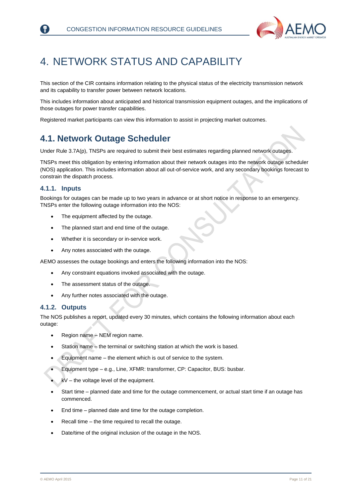

## <span id="page-10-0"></span>4. NETWORK STATUS AND CAPABILITY

This section of the CIR contains information relating to the physical status of the electricity transmission network and its capability to transfer power between network locations.

This includes information about anticipated and historical transmission equipment outages, and the implications of those outages for power transfer capabilities.

Registered market participants can view this information to assist in projecting market outcomes.

### <span id="page-10-1"></span>**4.1. Network Outage Scheduler**

Under Rule 3.7A(p), TNSPs are required to submit their best estimates regarding planned network outages.

TNSPs meet this obligation by entering information about their network outages into the network outage scheduler (NOS) application. This includes information about all out-of-service work, and any secondary bookings forecast to constrain the dispatch process.

#### **4.1.1. Inputs**

Bookings for outages can be made up to two years in advance or at short notice in response to an emergency. TNSPs enter the following outage information into the NOS:

- The equipment affected by the outage.
- The planned start and end time of the outage.
- Whether it is secondary or in-service work.
- Any notes associated with the outage.

AEMO assesses the outage bookings and enters the following information into the NOS:

- Any constraint equations invoked associated with the outage.
- The assessment status of the outage.
- Any further notes associated with the outage.

#### **4.1.2. Outputs**

The NOS publishes a report, updated every 30 minutes, which contains the following information about each outage:

- Region name NEM region name.
- Station name the terminal or switching station at which the work is based.
- Equipment name the element which is out of service to the system.
- Equipment type e.g., Line, XFMR: transformer, CP: Capacitor, BUS: busbar.
- kV the voltage level of the equipment.
- Start time planned date and time for the outage commencement, or actual start time if an outage has commenced.
- End time planned date and time for the outage completion.
- Recall time the time required to recall the outage.
- Date/time of the original inclusion of the outage in the NOS.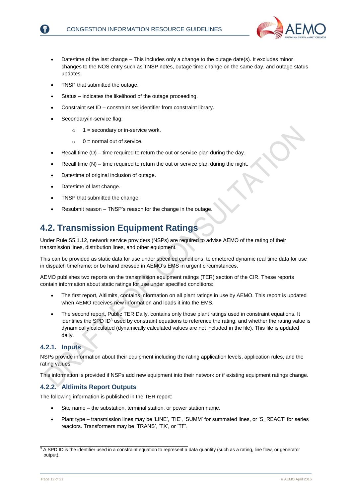

- Date/time of the last change This includes only a change to the outage date(s). It excludes minor changes to the NOS entry such as TNSP notes, outage time change on the same day, and outage status updates.
- TNSP that submitted the outage.
- Status indicates the likelihood of the outage proceeding.
- Constraint set ID constraint set identifier from constraint library.
- Secondary/in-service flag:
	- $\circ$  1 = secondary or in-service work.
	- $\circ$  0 = normal out of service.
- Recall time (D) time required to return the out or service plan during the day.
- Recall time (N) time required to return the out or service plan during the night.
- Date/time of original inclusion of outage.
- Date/time of last change.
- TNSP that submitted the change.
- Resubmit reason TNSP's reason for the change in the outage.

### <span id="page-11-0"></span>**4.2. Transmission Equipment Ratings**

Under Rule S5.1.12, network service providers (NSPs) are required to advise AEMO of the rating of their transmission lines, distribution lines, and other equipment.

This can be provided as static data for use under specified conditions; telemetered dynamic real time data for use in dispatch timeframe; or be hand dressed in AEMO's EMS in urgent circumstances.

AEMO publishes two reports on the transmission equipment ratings (TER) section of the CIR. These reports contain information about static ratings for use under specified conditions:

- The first report, Altlimits, contains information on all plant ratings in use by AEMO. This report is updated when AEMO receives new information and loads it into the EMS.
- The second report, Public TER Daily, contains only those plant ratings used in constraint equations. It identifies the SPD ID $3$  used by constraint equations to reference the rating, and whether the rating value is dynamically calculated (dynamically calculated values are not included in the file). This file is updated daily.

#### **4.2.1. Inputs**

NSPs provide information about their equipment including the rating application levels, application rules, and the rating values.

This information is provided if NSPs add new equipment into their network or if existing equipment ratings change.

#### **4.2.2. Altlimits Report Outputs**

The following information is published in the TER report:

\_\_\_\_\_\_\_\_\_\_\_\_\_\_\_\_\_\_\_\_\_\_\_\_\_\_\_\_\_\_\_\_\_\_\_\_\_\_\_\_\_\_\_\_\_\_\_\_\_\_

- Site name the substation, terminal station, or power station name.
- Plant type transmission lines may be 'LINE', 'TIE', 'SUMM' for summated lines, or 'S\_REACT' for series reactors. Transformers may be 'TRANS', 'TX', or 'TF'.

<sup>&</sup>lt;sup>3</sup> A SPD ID is the identifier used in a constraint equation to represent a data quantity (such as a rating, line flow, or generator output).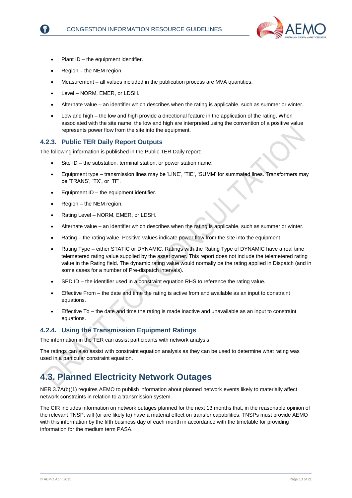

- Plant ID the equipment identifier.
- Region the NEM region.
- Measurement all values included in the publication process are MVA quantities.
- Level NORM, EMER, or LDSH.
- Alternate value an identifier which describes when the rating is applicable, such as summer or winter.
- Low and high the low and high provide a directional feature in the application of the rating. When associated with the site name, the low and high are interpreted using the convention of a positive value represents power flow from the site into the equipment.

#### **4.2.3. Public TER Daily Report Outputs**

The following information is published in the Public TER Daily report:

- Site ID the substation, terminal station, or power station name.
- Equipment type transmission lines may be 'LINE', 'TIE', 'SUMM' for summated lines. Transformers may be 'TRANS', 'TX', or 'TF'.
- Equipment ID the equipment identifier.
- Region the NEM region.
- Rating Level NORM, EMER, or LDSH.
- Alternate value an identifier which describes when the rating is applicable, such as summer or winter.
- Rating the rating value. Positive values indicate power flow from the site into the equipment.
- Rating Type either STATIC or DYNAMIC. Ratings with the Rating Type of DYNAMIC have a real time telemetered rating value supplied by the asset owner. This report does not include the telemetered rating value in the Rating field. The dynamic rating value would normally be the rating applied in Dispatch (and in some cases for a number of Pre-dispatch intervals).
- SPD ID the identifier used in a constraint equation RHS to reference the rating value.
- Effective From the date and time the rating is active from and available as an input to constraint equations.
- Effective To the date and time the rating is made inactive and unavailable as an input to constraint equations.

#### **4.2.4. Using the Transmission Equipment Ratings**

The information in the TER can assist participants with network analysis.

The ratings can also assist with constraint equation analysis as they can be used to determine what rating was used in a particular constraint equation.

### <span id="page-12-0"></span>**4.3. Planned Electricity Network Outages**

NER 3.7A(b)(1) requires AEMO to publish information about planned network events likely to materially affect network constraints in relation to a transmission system.

The CIR includes information on network outages planned for the next 13 months that, in the reasonable opinion of the relevant TNSP, will (or are likely to) have a material effect on transfer capabilities. TNSPs must provide AEMO with this information by the fifth business day of each month in accordance with the timetable for providing information for the medium term PASA.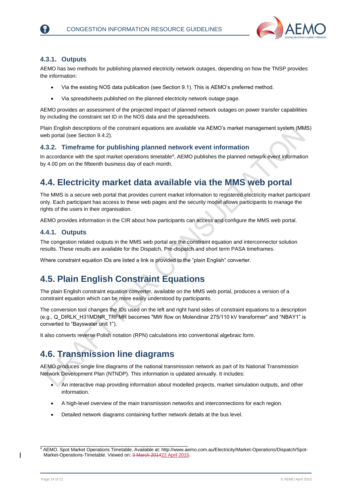

#### **4.3.1. Outputs**

AEMO has two methods for publishing planned electricity network outages, depending on how the TNSP provides the information:

- Via the existing NOS data publication (see Section 9.1). This is AEMO's preferred method.
- Via spreadsheets published on the planned electricity network outage page.

AEMO provides an assessment of the projected impact of planned network outages on power transfer capabilities by including the constraint set ID in the NOS data and the spreadsheets.

Plain English descriptions of the constraint equations are available via AEMO's market management system (MMS) web portal (see Section 9.4.2).

#### **4.3.2. Timeframe for publishing planned network event information**

In accordance with the spot market operations timetable<sup>4</sup>, AEMO publishes the planned network event information by 4.00 pm on the fifteenth business day of each month.

### <span id="page-13-0"></span>**4.4. Electricity market data available via the MMS web portal**

The MMS is a secure web portal that provides current market information to registered electricity market participant only. Each participant has access to these web pages and the security model allows participants to manage the rights of the users in their organisation.

AEMO provides information in the CIR about how participants can access and configure the MMS web portal.

#### **4.4.1. Outputs**

The congestion related outputs in the MMS web portal are the constraint equation and interconnector solution results. These results are available for the Dispatch, Pre-dispatch and short term PASA timeframes.

Where constraint equation IDs are listed a link is provided to the "plain English" converter.

### <span id="page-13-1"></span>**4.5. Plain English Constraint Equations**

The plain English constraint equation converter, available on the MMS web portal, produces a version of a constraint equation which can be more easily understood by participants.

The conversion tool changes the IDs used on the left and right hand sides of constraint equations to a description (e.g., Q\_DIRLK\_H31MDNR\_TRFMR becomes "MW flow on Molendinar 275/110 kV transformer" and "NBAY1" is converted to "Bayswater unit 1").

It also converts reverse Polish notation (RPN) calculations into conventional algebraic form.

### <span id="page-13-2"></span>**4.6. Transmission line diagrams**

\_\_\_\_\_\_\_\_\_\_\_\_\_\_\_\_\_\_\_\_\_\_\_\_\_\_\_\_\_\_\_\_\_\_\_\_\_\_\_\_\_\_\_\_\_\_\_\_\_\_

AEMO produces single line diagrams of the national transmission network as part of its National Transmission Network Development Plan (NTNDP). This information is updated annually. It includes:

- An interactive map providing information about modelled projects, market simulation outputs, and other information.
- A high-level overview of the main transmission networks and interconnections for each region.
- Detailed network diagrams containing further network details at the bus level.

<sup>4</sup> AEMO. Spot Market Operations Timetable. Available at: [http://www.aemo.com.au/Electricity/Market-Operations/Dispatch/Spot-](http://www.aemo.com.au/Electricity/Market-Operations/Dispatch/Spot-Market-Operations-Timetable)[Market-Operations-Timetable.](http://www.aemo.com.au/Electricity/Market-Operations/Dispatch/Spot-Market-Operations-Timetable) Viewed on: 3 March 201422 April 2015.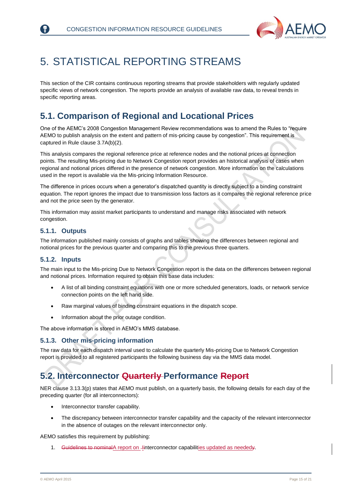

## <span id="page-14-0"></span>5. STATISTICAL REPORTING STREAMS

This section of the CIR contains continuous reporting streams that provide stakeholders with regularly updated specific views of network congestion. The reports provide an analysis of available raw data, to reveal trends in specific reporting areas.

### <span id="page-14-1"></span>**5.1. Comparison of Regional and Locational Prices**

One of the AEMC's 2008 Congestion Management Review recommendations was to amend the Rules to "require AEMO to publish analysis on the extent and pattern of mis-pricing cause by congestion". This requirement is captured in Rule clause 3.7A(b)(2).

This analysis compares the regional reference price at reference nodes and the notional prices at connection points. The resulting Mis-pricing due to Network Congestion report provides an historical analysis of cases when regional and notional prices differed in the presence of network congestion. More information on the calculations used in the report is available via the Mis-pricing Information Resource.

The difference in prices occurs when a generator's dispatched quantity is directly subject to a binding constraint equation. The report ignores the impact due to transmission loss factors as it compares the regional reference price and not the price seen by the generator.

This information may assist market participants to understand and manage risks associated with network congestion.

#### **5.1.1. Outputs**

The information published mainly consists of graphs and tables showing the differences between regional and notional prices for the previous quarter and comparing this to the previous three quarters.

#### **5.1.2. Inputs**

The main input to the Mis-pricing Due to Network Congestion report is the data on the differences between regional and notional prices. Information required to obtain this base data includes:

- A list of all binding constraint equations with one or more scheduled generators, loads, or network service connection points on the left hand side.
- Raw marginal values of binding constraint equations in the dispatch scope.
- Information about the prior outage condition.

The above information is stored in AEMO's MMS database.

#### **5.1.3. Other mis-pricing information**

The raw data for each dispatch interval used to calculate the quarterly Mis-pricing Due to Network Congestion report is provided to all registered participants the following business day via the MMS data model.

### <span id="page-14-2"></span>**5.2. Interconnector Quarterly Performance Report**

NER clause 3.13.3(p) states that AEMO must publish, on a quarterly basis, the following details for each day of the preceding quarter (for all interconnectors):

- Interconnector transfer capability.
- The discrepancy between interconnector transfer capability and the capacity of the relevant interconnector in the absence of outages on the relevant interconnector only.

AEMO satisfies this requirement by publishing:

1. Guidelines to nominalA report on -linterconnector capabilities updated as neededy.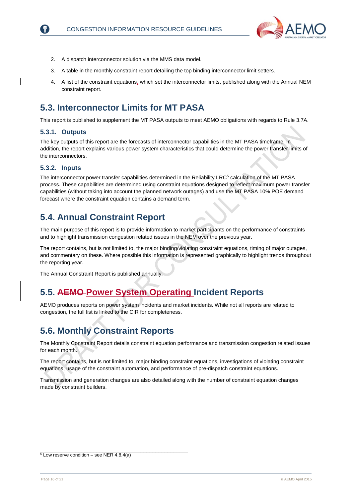

- 2. A dispatch interconnector solution via the MMS data model.
- 3. A table in the monthly constraint report detailing the top binding interconnector limit setters.
- 4. A list of the constraint equations, which set the interconnector limits, published along with the Annual NEM constraint report.

### <span id="page-15-0"></span>**5.3. Interconnector Limits for MT PASA**

This report is published to supplement the MT PASA outputs to meet AEMO obligations with regards to Rule 3.7A.

#### **5.3.1. Outputs**

The key outputs of this report are the forecasts of interconnector capabilities in the MT PASA timeframe. In addition, the report explains various power system characteristics that could determine the power transfer limits of the interconnectors.

#### **5.3.2. Inputs**

The interconnector power transfer capabilities determined in the Reliability LRC<sup>5</sup> calculation of the MT PASA process. These capabilities are determined using constraint equations designed to reflect maximum power transfer capabilities (without taking into account the planned network outages) and use the MT PASA 10% POE demand forecast where the constraint equation contains a demand term.

### <span id="page-15-1"></span>**5.4. Annual Constraint Report**

The main purpose of this report is to provide information to market participants on the performance of constraints and to highlight transmission congestion related issues in the NEM over the previous year.

The report contains, but is not limited to, the major binding/violating constraint equations, timing of major outages, and commentary on these. Where possible this information is represented graphically to highlight trends throughout the reporting year.

The Annual Constraint Report is published annually.

### <span id="page-15-2"></span>**5.5. AEMO Power System Operating Incident Reports**

AEMO produces reports on power system incidents and market incidents. While not all reports are related to congestion, the full list is linked to the CIR for completeness.

### <span id="page-15-3"></span>**5.6. Monthly Constraint Reports**

The Monthly Constraint Report details constraint equation performance and transmission congestion related issues for each month.

The report contains, but is not limited to, major binding constraint equations, investigations of violating constraint equations, usage of the constraint automation, and performance of pre-dispatch constraint equations.

Transmission and generation changes are also detailed along with the number of constraint equation changes made by constraint builders.

\_\_\_\_\_\_\_\_\_\_\_\_\_\_\_\_\_\_\_\_\_\_\_\_\_\_\_\_\_\_\_\_\_\_\_\_\_\_\_\_\_\_\_\_\_\_\_\_\_\_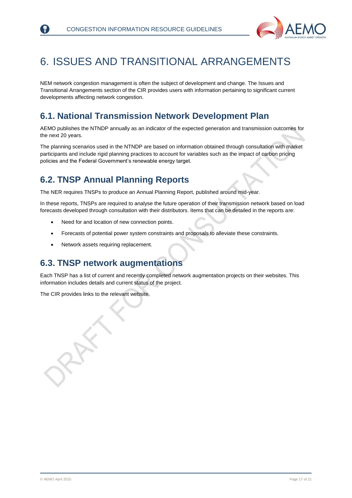

## <span id="page-16-0"></span>6. ISSUES AND TRANSITIONAL ARRANGEMENTS

NEM network congestion management is often the subject of development and change. The Issues and Transitional Arrangements section of the CIR provides users with information pertaining to significant current developments affecting network congestion.

### <span id="page-16-1"></span>**6.1. National Transmission Network Development Plan**

AEMO publishes the NTNDP annually as an indicator of the expected generation and transmission outcomes for the next 20 years.

The planning scenarios used in the NTNDP are based on information obtained through consultation with market participants and include rigid planning practices to account for variables such as the impact of carbon pricing policies and the Federal Government's renewable energy target.

### <span id="page-16-2"></span>**6.2. TNSP Annual Planning Reports**

The NER requires TNSPs to produce an Annual Planning Report, published around mid-year.

In these reports, TNSPs are required to analyse the future operation of their transmission network based on load forecasts developed through consultation with their distributors. Items that can be detailed in the reports are:

- Need for and location of new connection points.
- Forecasts of potential power system constraints and proposals to alleviate these constraints.
- Network assets requiring replacement.

### <span id="page-16-3"></span>**6.3. TNSP network augmentations**

Each TNSP has a list of current and recently completed network augmentation projects on their websites. This information includes details and current status of the project.

The CIR provides links to the relevant website.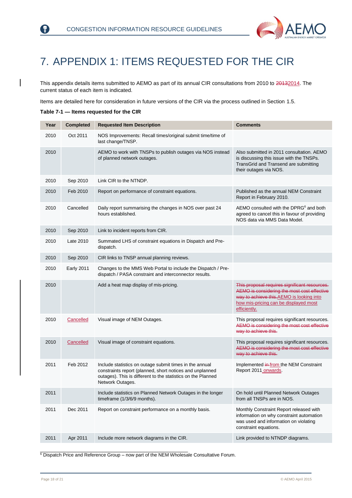

## <span id="page-17-0"></span>7. APPENDIX 1: ITEMS REQUESTED FOR THE CIR

This appendix details items submitted to AEMO as part of its annual CIR consultations from 2010 to 20132014. The current status of each item is indicated.

Items are detailed here for consideration in future versions of the CIR via the process outlined in Section [1.5.](#page-6-1)

<span id="page-17-1"></span>**Table 7-1 — Items requested for the CIR**

₹)

| Year | <b>Completed</b>  | <b>Requested Item Description</b>                                                                                                                                                                       | <b>Comments</b>                                                                                                                                                                                   |
|------|-------------------|---------------------------------------------------------------------------------------------------------------------------------------------------------------------------------------------------------|---------------------------------------------------------------------------------------------------------------------------------------------------------------------------------------------------|
| 2010 | Oct 2011          | NOS Improvements: Recall times/original submit time/time of<br>last change/TNSP.                                                                                                                        |                                                                                                                                                                                                   |
| 2010 |                   | AEMO to work with TNSPs to publish outages via NOS instead<br>of planned network outages.                                                                                                               | Also submitted in 2011 consultation. AEMO<br>is discussing this issue with the TNSPs.<br>TransGrid and Transend are submitting<br>their outages via NOS.                                          |
| 2010 | Sep 2010          | Link CIR to the NTNDP.                                                                                                                                                                                  |                                                                                                                                                                                                   |
| 2010 | Feb 2010          | Report on performance of constraint equations.                                                                                                                                                          | Published as the annual NEM Constraint<br>Report in February 2010.                                                                                                                                |
| 2010 | Cancelled         | Daily report summarising the changes in NOS over past 24<br>hours established.                                                                                                                          | AEMO consulted with the DPRG <sup>6</sup> and both<br>agreed to cancel this in favour of providing<br>NOS data via MMS Data Model.                                                                |
| 2010 | Sep 2010          | Link to incident reports from CIR.                                                                                                                                                                      |                                                                                                                                                                                                   |
| 2010 | Late 2010         | Summated LHS of constraint equations in Dispatch and Pre-<br>dispatch.                                                                                                                                  |                                                                                                                                                                                                   |
| 2010 | Sep 2010          | CIR links to TNSP annual planning reviews.                                                                                                                                                              |                                                                                                                                                                                                   |
| 2010 | <b>Early 2011</b> | Changes to the MMS Web Portal to include the Dispatch / Pre-<br>dispatch / PASA constraint and interconnector results.                                                                                  |                                                                                                                                                                                                   |
| 2010 |                   | Add a heat map display of mis-pricing.                                                                                                                                                                  | This proposal requires significant resources.<br>AEMO is considering the most cost effective<br>way to achieve this.AEMO is looking into<br>how mis-pricing can be displayed most<br>efficiently. |
| 2010 | Cancelled         | Visual image of NEM Outages.                                                                                                                                                                            | This proposal requires significant resources.<br>AEMO is considering the most cost effective<br>way to achieve this.                                                                              |
| 2010 | Cancelled         | Visual image of constraint equations.                                                                                                                                                                   | This proposal requires significant resources.<br>AEMO is considering the most cost effective<br>way to achieve this.                                                                              |
| 2011 | Feb 2012          | Include statistics on outage submit times in the annual<br>constraints report (planned, short notices and unplanned<br>outages). This is different to the statistics on the Planned<br>Network Outages. | Implemented in from the NEM Constraint<br>Report 2011 onwards.                                                                                                                                    |
| 2011 |                   | Include statistics on Planned Network Outages in the longer<br>timeframe (1/3/6/9 months).                                                                                                              | On hold until Planned Network Outages<br>from all TNSPs are in NOS.                                                                                                                               |
| 2011 | Dec 2011          | Report on constraint performance on a monthly basis.                                                                                                                                                    | Monthly Constraint Report released with<br>information on why constraint automation<br>was used and information on violating<br>constraint equations.                                             |
| 2011 | Apr 2011          | Include more network diagrams in the CIR.                                                                                                                                                               | Link provided to NTNDP diagrams.                                                                                                                                                                  |

 $6$  Dispatch Price and Reference Group – now part of the NEM Wholesale Consultative Forum.

\_\_\_\_\_\_\_\_\_\_\_\_\_\_\_\_\_\_\_\_\_\_\_\_\_\_\_\_\_\_\_\_\_\_\_\_\_\_\_\_\_\_\_\_\_\_\_\_\_\_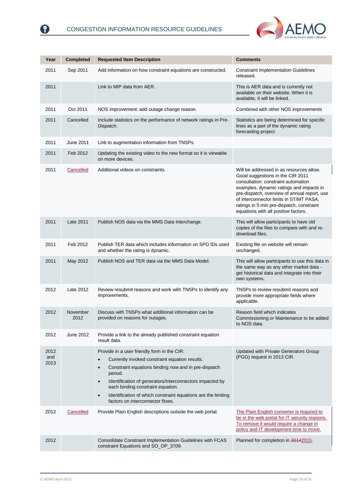0



| Year                | <b>Completed</b> | <b>Requested Item Description</b>                                                                                                                                                                                                                                                                                                                                                                             | <b>Comments</b>                                                                                                                                                                                                                                                                                                                                 |
|---------------------|------------------|---------------------------------------------------------------------------------------------------------------------------------------------------------------------------------------------------------------------------------------------------------------------------------------------------------------------------------------------------------------------------------------------------------------|-------------------------------------------------------------------------------------------------------------------------------------------------------------------------------------------------------------------------------------------------------------------------------------------------------------------------------------------------|
| 2011                | Sep 2011         | Add information on how constraint equations are constructed.                                                                                                                                                                                                                                                                                                                                                  | <b>Constraint Implementation Guidelines</b><br>released.                                                                                                                                                                                                                                                                                        |
| 2011                |                  | Link to MIP data from AER.                                                                                                                                                                                                                                                                                                                                                                                    | This is AER data and is currently not<br>available on their website. When it is<br>available, it will be linked.                                                                                                                                                                                                                                |
| 2011                | Oct 2011         | NOS improvement: add outage change reason.                                                                                                                                                                                                                                                                                                                                                                    | Combined with other NOS improvements                                                                                                                                                                                                                                                                                                            |
| 2011                | Cancelled        | Include statistics on the performance of network ratings in Pre-<br>Dispatch.                                                                                                                                                                                                                                                                                                                                 | Statistics are being determined for specific<br>lines as a part of the dynamic rating<br>forecasting project                                                                                                                                                                                                                                    |
| 2011                | June 2011        | Link to augmentation information from TNSPs.                                                                                                                                                                                                                                                                                                                                                                  |                                                                                                                                                                                                                                                                                                                                                 |
| 2011                | Feb 2012         | Updating the existing video to the new format so it is viewable<br>on more devices.                                                                                                                                                                                                                                                                                                                           |                                                                                                                                                                                                                                                                                                                                                 |
| 2011                | Cancelled        | Additional videos on constraints.                                                                                                                                                                                                                                                                                                                                                                             | Will be addressed in as resources allow.<br>Good suggestions in the CIR 2011<br>consultation: constraint automation<br>examples, dynamic ratings and impacts in<br>pre-dispatch, overview of annual report, use<br>of interconnector limits in ST/MT PASA,<br>ratings in 5 min pre-dispatch, constraint<br>equations with all positive factors. |
| 2011                | Late 2011        | Publish NOS data via the MMS Data Interchange.                                                                                                                                                                                                                                                                                                                                                                | This will allow participants to have old<br>copies of the files to compare with and re-<br>download files.                                                                                                                                                                                                                                      |
| 2011                | Feb 2012         | Publish TER data which includes information on SPD IDs used<br>and whether the rating is dynamic.                                                                                                                                                                                                                                                                                                             | Existing file on website will remain<br>unchanged.                                                                                                                                                                                                                                                                                              |
| 2011                | May 2012         | Publish NOS and TER data via the MMS Data Model.                                                                                                                                                                                                                                                                                                                                                              | This will allow participants to use this data in<br>the same way as any other market data -<br>get historical data and integrate into their<br>own systems.                                                                                                                                                                                     |
| 2012                | Late 2012        | Review resubmit reasons and work with TNSPs to identify any<br>improvements.                                                                                                                                                                                                                                                                                                                                  | TNSPs to review resubmit reasons and<br>provide more appropriate fields where<br>applicable.                                                                                                                                                                                                                                                    |
| 2012                | November<br>2012 | Discuss with TNSPs what additional information can be<br>provided on reasons for outages.                                                                                                                                                                                                                                                                                                                     | Reason field which indicates<br>Commissioning or Maintenance to be added<br>to NOS data.                                                                                                                                                                                                                                                        |
| 2012                | June 2012        | Provide a link to the already published constraint equation<br>result data.                                                                                                                                                                                                                                                                                                                                   |                                                                                                                                                                                                                                                                                                                                                 |
| 2012<br>and<br>2013 |                  | Provide in a user friendly form in the CIR:<br>Currently invoked constraint equation results.<br>Constraint equations binding now and in pre-dispatch<br>$\bullet$<br>period.<br>Identification of generators/interconnectors impacted by<br>$\bullet$<br>each binding constraint equation.<br>Identification of which constraint equations are the limiting<br>$\bullet$<br>factors on interconnector flows. | Updated with Private Generators Group<br>(PGG) request in 2013 CIR.                                                                                                                                                                                                                                                                             |
| 2012                | Cancelled        | Provide Plain English descriptions outside the web portal.                                                                                                                                                                                                                                                                                                                                                    | The Plain English converter is required to<br>be in the web portal for IT security reasons.<br>To remove it would require a change in<br>policy and IT development time to move.                                                                                                                                                                |
| 2012                |                  | Consolidate Constraint Implementation Guidelines with FCAS<br>constraint Equations and SO_OP_3709.                                                                                                                                                                                                                                                                                                            | Planned for completion in 20142015.                                                                                                                                                                                                                                                                                                             |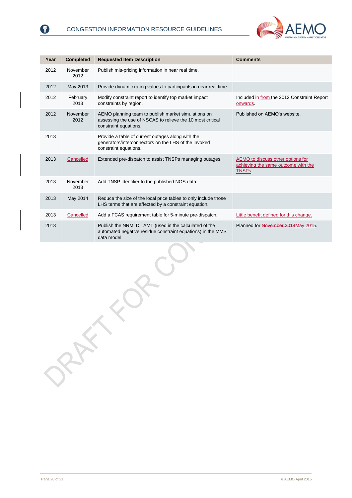$\lambda$ 



| Year | <b>Completed</b> | <b>Requested Item Description</b>                                                                                                          | <b>Comments</b>                                                                          |
|------|------------------|--------------------------------------------------------------------------------------------------------------------------------------------|------------------------------------------------------------------------------------------|
| 2012 | November<br>2012 | Publish mis-pricing information in near real time.                                                                                         |                                                                                          |
| 2012 | May 2013         | Provide dynamic rating values to participants in near real time.                                                                           |                                                                                          |
| 2012 | February<br>2013 | Modify constraint report to identify top market impact<br>constraints by region.                                                           | Included in from the 2012 Constraint Report<br>onwards.                                  |
| 2012 | November<br>2012 | AEMO planning team to publish market simulations on<br>assessing the use of NSCAS to relieve the 10 most critical<br>constraint equations. | Published on AEMO's website.                                                             |
| 2013 |                  | Provide a table of current outages along with the<br>generators/interconnectors on the LHS of the invoked<br>constraint equations.         |                                                                                          |
| 2013 | Cancelled        | Extended pre-dispatch to assist TNSPs managing outages.                                                                                    | AEMO to discuss other options for<br>achieving the same outcome with the<br><b>TNSPs</b> |
| 2013 | November<br>2013 | Add TNSP identifier to the published NOS data.                                                                                             |                                                                                          |
| 2013 | May 2014         | Reduce the size of the local price tables to only include those<br>LHS terms that are affected by a constraint equation.                   |                                                                                          |
| 2013 | Cancelled        | Add a FCAS requirement table for 5-minute pre-dispatch.                                                                                    | Little benefit defined for this change.                                                  |
| 2013 |                  | Publish the NRM_DI_AMT (used in the calculated of the<br>automated negative residue constraint equations) in the MMS<br>data model.        | Planned for November 2014 May 2015.                                                      |

€